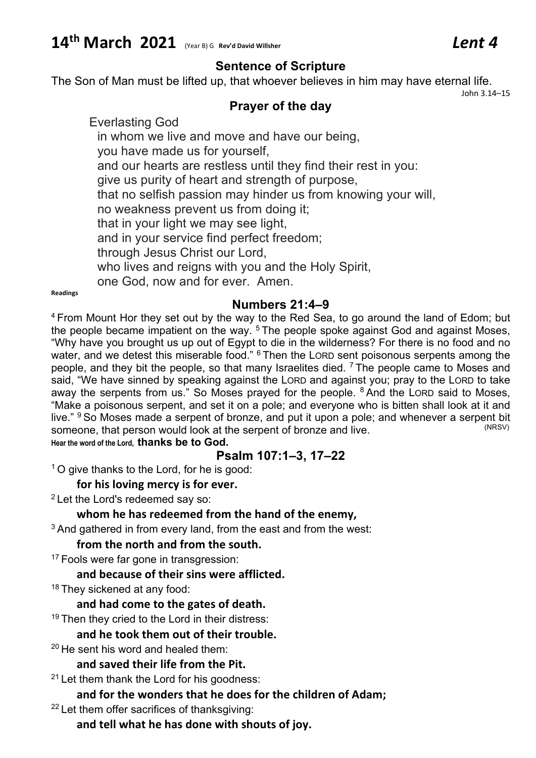# **14th March 2021** (Year B) <sup>G</sup> **Rev'd David Willsher** *Lent 4*

## **Sentence of Scripture**

The Son of Man must be lifted up, that whoever believes in him may have eternal life.

John 3.14–15

## **Prayer of the day**

Everlasting God in whom we live and move and have our being, you have made us for yourself, and our hearts are restless until they find their rest in you: give us purity of heart and strength of purpose, that no selfish passion may hinder us from knowing your will, no weakness prevent us from doing it; that in your light we may see light, and in your service find perfect freedom; through Jesus Christ our Lord, who lives and reigns with you and the Holy Spirit, one God, now and for ever. Amen.

**Readings**

## **Numbers 21:4–9**

<sup>4</sup> From Mount Hor they set out by the way to the Red Sea, to go around the land of Edom; but the people became impatient on the way.  $5$  The people spoke against God and against Moses, "Why have you brought us up out of Egypt to die in the wilderness? For there is no food and no water, and we detest this miserable food." <sup>6</sup> Then the LORD sent poisonous serpents among the people, and they bit the people, so that many Israelites died.  $<sup>7</sup>$  The people came to Moses and</sup> said, "We have sinned by speaking against the LORD and against you; pray to the LORD to take away the serpents from us." So Moses prayed for the people. <sup>8</sup> And the LORD said to Moses, "Make a poisonous serpent, and set it on a pole; and everyone who is bitten shall look at it and live." <sup>9</sup> So Moses made a serpent of bronze, and put it upon a pole; and whenever a serpent bit someone, that person would look at the serpent of bronze and live someone, that person would look at the serpent of bronze and live. **Hear the word of the Lord, thanks be to God.**

## **Psalm 107:1–3, 17–22**

<sup>1</sup> O give thanks to the Lord, for he is good:

#### **for his loving mercy is for ever.**

<sup>2</sup> Let the Lord's redeemed say so:

#### **whom he has redeemed from the hand of the enemy,**

 $3$  And gathered in from every land, from the east and from the west:

#### **from the north and from the south.**

<sup>17</sup> Fools were far gone in transgression:

#### **and because of their sins were afflicted.**

<sup>18</sup> They sickened at any food:

#### **and had come to the gates of death.**

<sup>19</sup> Then they cried to the Lord in their distress:

#### **and he took them out of their trouble.**

<sup>20</sup> He sent his word and healed them:

#### **and saved their life from the Pit.**

 $21$  Let them thank the Lord for his goodness:

## **and for the wonders that he does for the children of Adam;**

<sup>22</sup> Let them offer sacrifices of thanksgiving:

#### **and tell what he has done with shouts of joy.**